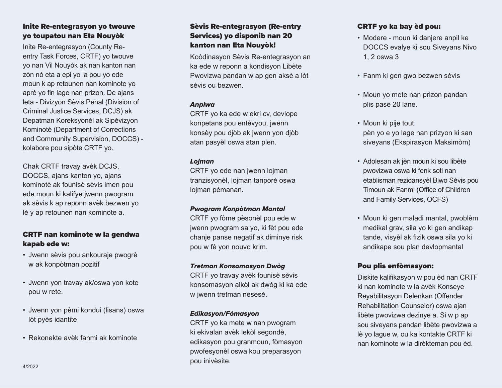# Inite Re-entegrasyon yo twouve yo toupatou nan Eta Nouyòk

Inite Re-entegrasyon (County Reentry Task Forces, CRTF) yo twouve yo nan Vil Nouyòk ak nan kanton nan zòn nò eta a epi yo la pou yo ede moun k ap retounen nan kominote yo aprè yo fin lage nan prizon. De ajans leta - Divizyon Sèvis Penal (Division of Criminal Justice Services, DCJS) ak Depatman Koreksyonèl ak Sipèvizyon Kominotè (Department of Corrections and Community Supervision, DOCCS) kolabore pou sipòte CRTF yo.

Chak CRTF travay avèk DCJS, DOCCS, ajans kanton yo, ajans kominotè ak founisè sèvis imen pou ede moun ki kalifye jwenn pwogram ak sèvis k ap reponn avèk bezwen yo lè y ap retounen nan kominote a.

# CRTF nan kominote w la gendwa kapab ede w:

- Jwenn sèvis pou ankouraje pwogrè w ak konpòtman pozitif
- Jwenn yon travay ak/oswa yon kote pou w rete.
- Jwenn yon pèmi kondui (lisans) oswa lòt pyès idantite
- Rekonekte avèk fanmi ak kominote

# Sèvis Re-entegrasyon (Re-entry Services) yo disponib nan 20 kanton nan Eta Nouyòk!

Koòdinasyon Sèvis Re-entegrasyon an ka ede w reponn a kondisyon Libète Pwovizwa pandan w ap gen aksè a lòt sèvis ou bezwen.

## Anplwa

CRTF yo ka ede w ekri cv, devlope konpetans pou entèvyou, jwenn konsèy pou djòb ak jwenn yon djòb atan pasyèl oswa atan plen.

## Lojman

CRTF yo ede nan jwenn lojman tranzisyonèl, lojman tanporè oswa lojman pèmanan.

## Pwogram Konpòtman Mantal

CRTF yo fòme pèsonèl pou ede w jwenn pwogram sa yo, ki fèt pou ede chanje panse negatif ak diminye risk pou w fè yon nouvo krim.

## Tretman Konsomasyon Dwòg

CRTF yo travay avèk founisè sèvis konsomasyon alkòl ak dwòg ki ka ede w jwenn tretman nesesè.

## Edikasyon/Fòmasyon

CRTF yo ka mete w nan pwogram ki ekivalan avèk lekòl segondè, edikasyon pou granmoun, fòmasyon pwofesyonèl oswa kou preparasyon pou inivèsite.

# CRTF yo ka bay èd pou:

- Modere moun ki danjere anpil ke DOCCS evalye ki sou Siveyans Nivo 1, 2 oswa 3
- Fanm ki gen gwo bezwen sèvis
- Moun yo mete nan prizon pandan plis pase 20 lane.
- Moun ki pije tout pèn yo e yo lage nan prizyon ki san siveyans (Ekspirasyon Maksimòm)
- Adolesan ak jèn moun ki sou libète pwovizwa oswa ki fenk soti nan etablisman rezidansyèl Biwo Sèvis pou Timoun ak Fanmi (Office of Children and Family Services, OCFS)
- Moun ki gen maladi mantal, pwoblèm medikal grav, sila yo ki gen andikap tande, visyèl ak fizik oswa sila yo ki andikape sou plan devlopmantal

## Pou plis enfòmasyon:

Diskite kalifikasyon w pou èd nan CRTF ki nan kominote w la avèk Konseye Reyabilitasyon Delenkan (Offender Rehabilitation Counselor) oswa ajan libète pwovizwa dezinye a. Si w p ap sou siveyans pandan libète pwovizwa a lè yo lague w, ou ka kontakte CRTF ki nan kominote w la dirèkteman pou èd.